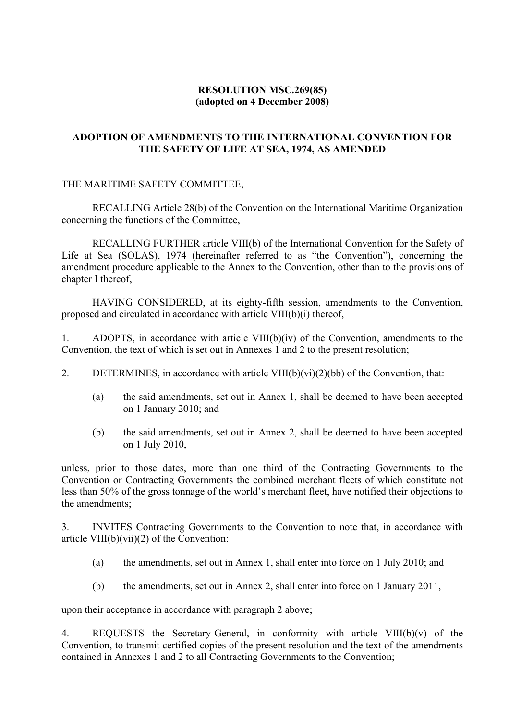# **RESOLUTION MSC.269(85) (adopted on 4 December 2008)**

# **ADOPTION OF AMENDMENTS TO THE INTERNATIONAL CONVENTION FOR THE SAFETY OF LIFE AT SEA, 1974, AS AMENDED**

## THE MARITIME SAFETY COMMITTEE,

RECALLING Article 28(b) of the Convention on the International Maritime Organization concerning the functions of the Committee,

RECALLING FURTHER article VIII(b) of the International Convention for the Safety of Life at Sea (SOLAS), 1974 (hereinafter referred to as "the Convention"), concerning the amendment procedure applicable to the Annex to the Convention, other than to the provisions of chapter I thereof,

HAVING CONSIDERED, at its eighty-fifth session, amendments to the Convention, proposed and circulated in accordance with article VIII(b)(i) thereof,

1. ADOPTS, in accordance with article VIII(b)(iv) of the Convention, amendments to the Convention, the text of which is set out in Annexes 1 and 2 to the present resolution;

- 2. DETERMINES, in accordance with article  $VIII(b)(vi)(2)(bb)$  of the Convention, that:
	- (a) the said amendments, set out in Annex 1, shall be deemed to have been accepted on 1 January 2010; and
	- (b) the said amendments, set out in Annex 2, shall be deemed to have been accepted on 1 July 2010,

unless, prior to those dates, more than one third of the Contracting Governments to the Convention or Contracting Governments the combined merchant fleets of which constitute not less than 50% of the gross tonnage of the world's merchant fleet, have notified their objections to the amendments;

3. INVITES Contracting Governments to the Convention to note that, in accordance with article VIII(b)(vii)(2) of the Convention:

- (a) the amendments, set out in Annex 1, shall enter into force on 1 July 2010; and
- (b) the amendments, set out in Annex 2, shall enter into force on 1 January 2011,

upon their acceptance in accordance with paragraph 2 above;

4. REQUESTS the Secretary-General, in conformity with article VIII(b)(v) of the Convention, to transmit certified copies of the present resolution and the text of the amendments contained in Annexes 1 and 2 to all Contracting Governments to the Convention;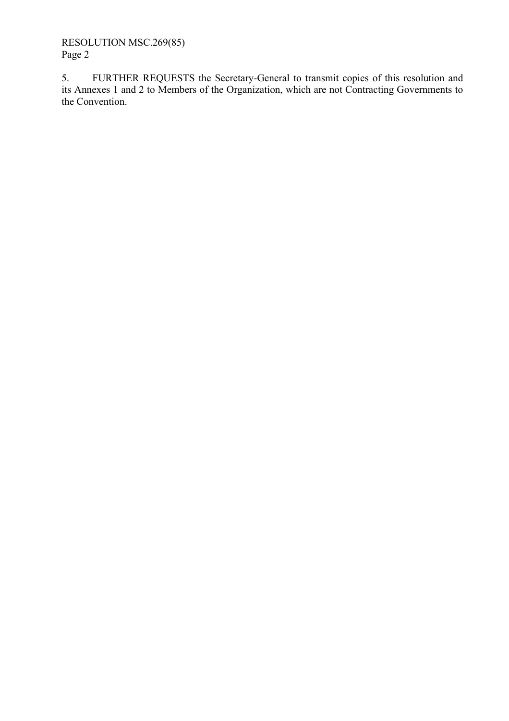RESOLUTION MSC.269(85) Page 2

5. FURTHER REQUESTS the Secretary-General to transmit copies of this resolution and its Annexes 1 and 2 to Members of the Organization, which are not Contracting Governments to the Convention.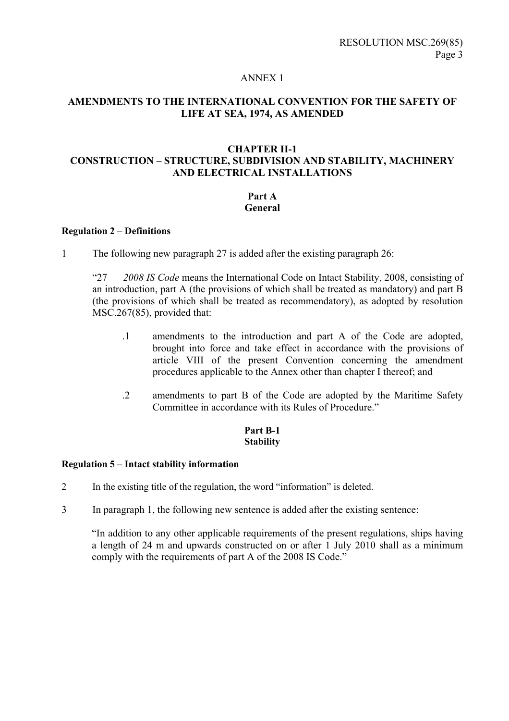#### ANNEX 1

# **AMENDMENTS TO THE INTERNATIONAL CONVENTION FOR THE SAFETY OF LIFE AT SEA, 1974, AS AMENDED**

## **CHAPTER II-1 CONSTRUCTION - STRUCTURE, SUBDIVISION AND STABILITY, MACHINERY AND ELECTRICAL INSTALLATIONS**

#### **Part A General**

#### **Regulation 2 – Definitions**

1 The following new paragraph 27 is added after the existing paragraph 26:

ì27 *2008 IS Code* means the International Code on Intact Stability, 2008, consisting of an introduction, part A (the provisions of which shall be treated as mandatory) and part B (the provisions of which shall be treated as recommendatory), as adopted by resolution MSC.267(85), provided that:

- .1 amendments to the introduction and part A of the Code are adopted, brought into force and take effect in accordance with the provisions of article VIII of the present Convention concerning the amendment procedures applicable to the Annex other than chapter I thereof; and
- .2 amendments to part B of the Code are adopted by the Maritime Safety Committee in accordance with its Rules of Procedure.<sup>"</sup>

#### **Part B-1 Stability**

#### **Regulation 5 – Intact stability information**

- 2 In the existing title of the regulation, the word "information" is deleted.
- 3 In paragraph 1, the following new sentence is added after the existing sentence:

ìIn addition to any other applicable requirements of the present regulations, ships having a length of 24 m and upwards constructed on or after 1 July 2010 shall as a minimum comply with the requirements of part A of the 2008 IS Code.<sup>7</sup>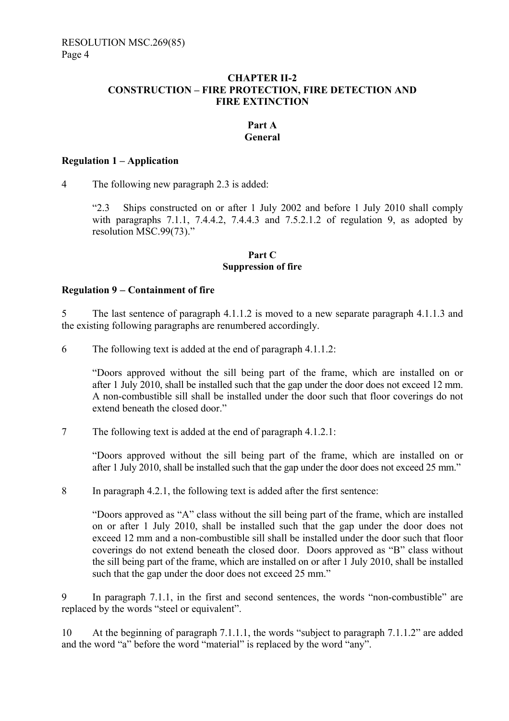## **CHAPTER II-2 CONSTRUCTION – FIRE PROTECTION, FIRE DETECTION AND FIRE EXTINCTION**

# **Part A General**

#### **Regulation 1 – Application**

4 The following new paragraph 2.3 is added:

ì2.3 Ships constructed on or after 1 July 2002 and before 1 July 2010 shall comply with paragraphs 7.1.1, 7.4.4.2, 7.4.4.3 and 7.5.2.1.2 of regulation 9, as adopted by resolution MSC.99 $(73)$ .

#### **Part C Suppression of fire**

## **Regulation 9** − **Containment of fire**

5 The last sentence of paragraph 4.1.1.2 is moved to a new separate paragraph 4.1.1.3 and the existing following paragraphs are renumbered accordingly.

6 The following text is added at the end of paragraph 4.1.1.2:

ìDoors approved without the sill being part of the frame, which are installed on or after 1 July 2010, shall be installed such that the gap under the door does not exceed 12 mm. A non-combustible sill shall be installed under the door such that floor coverings do not extend beneath the closed door."

7 The following text is added at the end of paragraph 4.1.2.1:

ìDoors approved without the sill being part of the frame, which are installed on or after 1 July 2010, shall be installed such that the gap under the door does not exceed 25 mm."

8 In paragraph 4.2.1, the following text is added after the first sentence:

"Doors approved as "A" class without the sill being part of the frame, which are installed on or after 1 July 2010, shall be installed such that the gap under the door does not exceed 12 mm and a non-combustible sill shall be installed under the door such that floor coverings do not extend beneath the closed door. Doors approved as "B" class without the sill being part of the frame, which are installed on or after 1 July 2010, shall be installed such that the gap under the door does not exceed 25 mm.<sup>"</sup>

9 In paragraph  $7.1.1$ , in the first and second sentences, the words "non-combustible" are replaced by the words "steel or equivalent".

10 At the beginning of paragraph 7.1.1.1, the words "subject to paragraph  $7.1.1.2$ " are added and the word "a" before the word "material" is replaced by the word "any".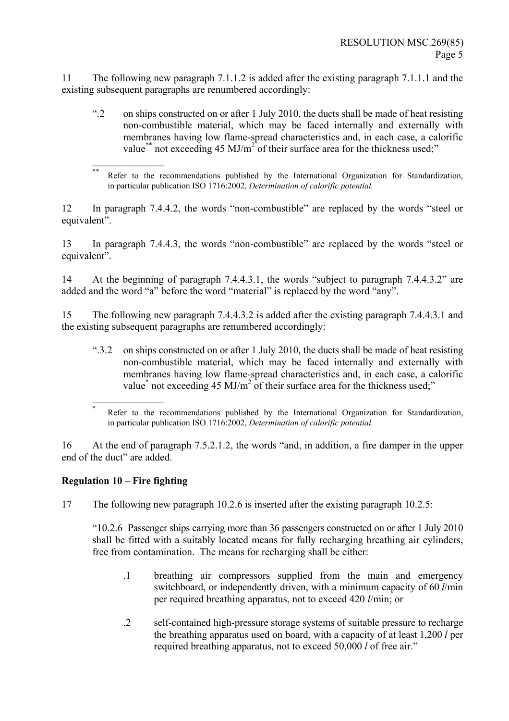11 The following new paragraph 7.1.1.2 is added after the existing paragraph 7.1.1.1 and the existing subsequent paragraphs are renumbered accordingly:

ì.2 on ships constructed on or after 1 July 2010, the ducts shall be made of heat resisting non-combustible material, which may be faced internally and externally with membranes having low flame-spread characteristics and, in each case, a calorific value<sup>\*\*</sup> not exceeding 45 MJ/m<sup>2</sup> of their surface area for the thickness used;"

12 In paragraph 7.4.4.2, the words "non-combustible" are replaced by the words "steel or equivalent".

13 In paragraph 7.4.4.3, the words "non-combustible" are replaced by the words "steel or equivalent".

14 At the beginning of paragraph 7.4.4.3.1, the words "subject to paragraph 7.4.4.3.2" are added and the word "a" before the word "material" is replaced by the word "any".

15 The following new paragraph 7.4.4.3.2 is added after the existing paragraph 7.4.4.3.1 and the existing subsequent paragraphs are renumbered accordingly:

ì.3.2 on ships constructed on or after 1 July 2010, the ducts shall be made of heat resisting non-combustible material, which may be faced internally and externally with membranes having low flame-spread characteristics and, in each case, a calorific value<sup>\*</sup> not exceeding 45 MJ/m<sup>2</sup> of their surface area for the thickness used;"

16 At the end of paragraph  $7.5.2.1.2$ , the words "and, in addition, a fire damper in the upper end of the duct" are added.

# **Regulation 10 – Fire fighting**

 $\frac{1}{2}$ 

 $\frac{1}{2}$ 

17 The following new paragraph 10.2.6 is inserted after the existing paragraph 10.2.5:

ì10.2.6 Passenger ships carrying more than 36 passengers constructed on or after 1 July 2010 shall be fitted with a suitably located means for fully recharging breathing air cylinders, free from contamination. The means for recharging shall be either:

- .1 breathing air compressors supplied from the main and emergency switchboard, or independently driven, with a minimum capacity of 60 *l*/min per required breathing apparatus, not to exceed 420 *l*/min; or
- .2 self-contained high-pressure storage systems of suitable pressure to recharge the breathing apparatus used on board, with a capacity of at least 1,200 *l* per required breathing apparatus, not to exceed 50,000 *l* of free air.<sup>7</sup>

<sup>\*\*</sup> Refer to the recommendations published by the International Organization for Standardization, in particular publication ISO 1716:2002, *Determination of calorific potential.*

Refer to the recommendations published by the International Organization for Standardization, in particular publication ISO 1716:2002, *Determination of calorific potential.*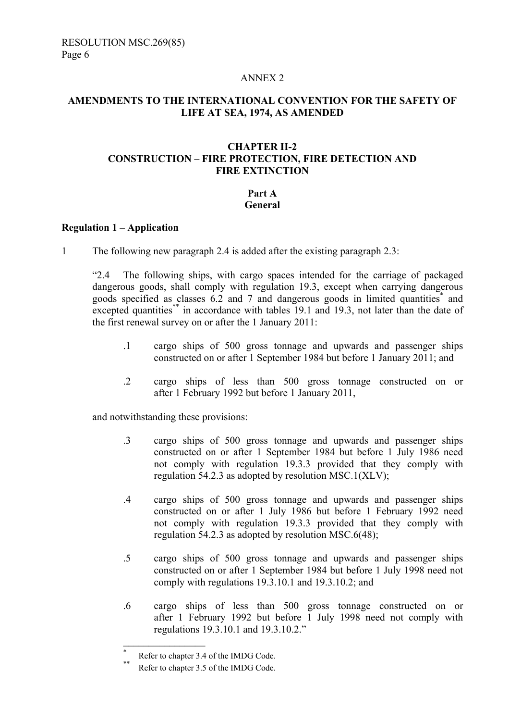#### ANNEX 2

# **AMENDMENTS TO THE INTERNATIONAL CONVENTION FOR THE SAFETY OF LIFE AT SEA, 1974, AS AMENDED**

## **CHAPTER II-2 CONSTRUCTION - FIRE PROTECTION, FIRE DETECTION AND FIRE EXTINCTION**

# **Part A**

# **General**

#### **Regulation 1 – Application**

1 The following new paragraph 2.4 is added after the existing paragraph 2.3:

ì2.4 The following ships, with cargo spaces intended for the carriage of packaged dangerous goods, shall comply with regulation 19.3, except when carrying dangerous goods specified as classes  $6.2$  and 7 and dangerous goods in limited quantities<sup>\*</sup> and excepted quantities\*\* in accordance with tables 19.1 and 19.3, not later than the date of the first renewal survey on or after the 1 January 2011:

- .1 cargo ships of 500 gross tonnage and upwards and passenger ships constructed on or after 1 September 1984 but before 1 January 2011; and
- .2 cargo ships of less than 500 gross tonnage constructed on or after 1 February 1992 but before 1 January 2011,

and notwithstanding these provisions:

- .3 cargo ships of 500 gross tonnage and upwards and passenger ships constructed on or after 1 September 1984 but before 1 July 1986 need not comply with regulation 19.3.3 provided that they comply with regulation 54.2.3 as adopted by resolution MSC.1(XLV);
- .4 cargo ships of 500 gross tonnage and upwards and passenger ships constructed on or after 1 July 1986 but before 1 February 1992 need not comply with regulation 19.3.3 provided that they comply with regulation 54.2.3 as adopted by resolution MSC.6(48);
- .5 cargo ships of 500 gross tonnage and upwards and passenger ships constructed on or after 1 September 1984 but before 1 July 1998 need not comply with regulations 19.3.10.1 and 19.3.10.2; and
- .6 cargo ships of less than 500 gross tonnage constructed on or after 1 February 1992 but before 1 July 1998 need not comply with regulations 19.3.10.1 and 19.3.10.2.<sup>n</sup>

 $\frac{1}{2}$ 

<sup>\*</sup> Refer to chapter 3.4 of the IMDG Code.

Refer to chapter 3.5 of the IMDG Code.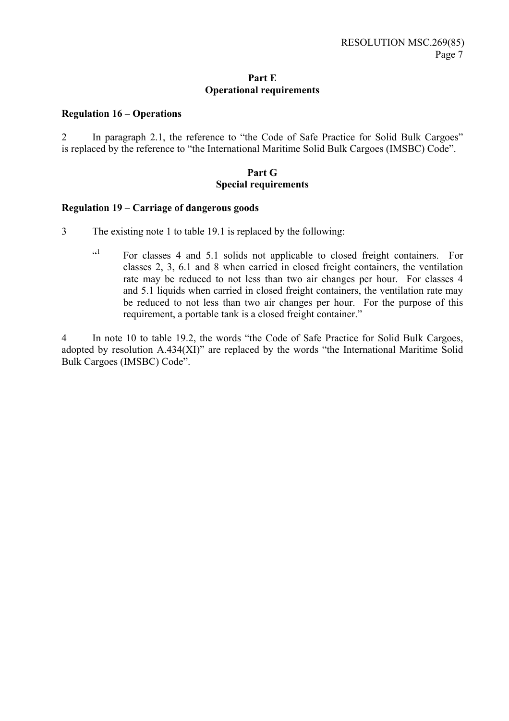#### **Part E Operational requirements**

#### **Regulation 16 – Operations**

2 In paragraph 2.1, the reference to "the Code of Safe Practice for Solid Bulk Cargoes" is replaced by the reference to "the International Maritime Solid Bulk Cargoes (IMSBC) Code".

#### **Part G Special requirements**

#### **Regulation 19 – Carriage of dangerous goods**

- 3 The existing note 1 to table 19.1 is replaced by the following:
	- ì 1 For classes 4 and 5.1 solids not applicable to closed freight containers. For classes 2, 3, 6.1 and 8 when carried in closed freight containers, the ventilation rate may be reduced to not less than two air changes per hour. For classes 4 and 5.1 liquids when carried in closed freight containers, the ventilation rate may be reduced to not less than two air changes per hour. For the purpose of this requirement, a portable tank is a closed freight container."

4 In note 10 to table 19.2, the words "the Code of Safe Practice for Solid Bulk Cargoes, adopted by resolution  $A.434(XI)$ <sup>n</sup> are replaced by the words "the International Maritime Solid" Bulk Cargoes (IMSBC) Code".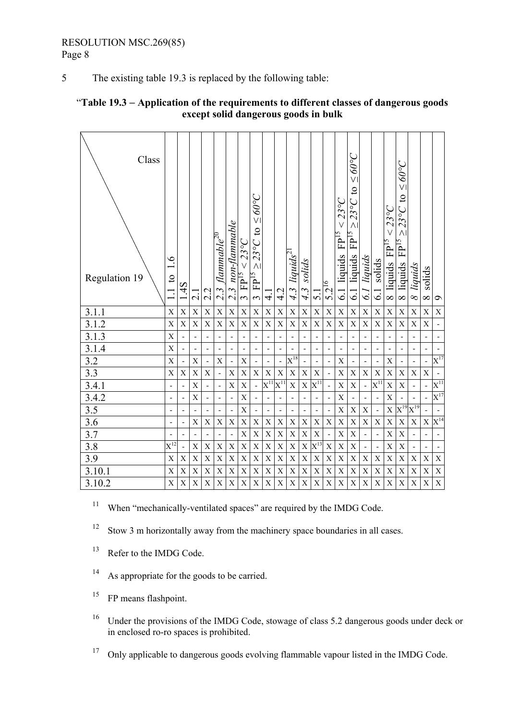The existing table 19.3 is replaced by the following table: 5

| Class<br>Regulation 19 | $\tilde{\mathcal{O}}$<br>$\mathbf{c}$ | 1.4S | $\overline{c}$ | 2.2                          | $\frac{flammabc^{20}}{$<br>$2.\overline{3}$ | $3$ non-flammable<br>$\overline{\mathcal{M}}$ | $<$ 23°C<br>FP <sup>15</sup><br>$\epsilon$ | $\geq$ 00 $\geq$<br>$\mathfrak{S}$<br>$23^{\circ}C$<br>$\overline{\Lambda}$<br>${\rm FP^{15}}$<br>$\tilde{ }$ | 4.                      | 4.2               | liguids <sup>21</sup><br>4.3 | solids<br>$4.\overline{3}$ | $\overline{5}$ .          | $5.2^{16}$  | $23^{\circ}C$<br>FP <sup>15</sup><br>liquids<br>$\overline{61}$ | $\geq$ 00 $\geq$<br>$23^{\circ}$ C to<br>$\wedge$ l<br>FP <sup>15</sup><br>liquids<br>$\overline{61}$ | liquids<br>6.] | solids<br>$\overline{61}$ | $23^{\circ}C$<br>V<br>FP <sup>15</sup><br>liquids<br>$\infty$ | $\geq$ 00 $\geq$<br>$23^{\circ}$ C to<br>$\wedge$<br>FP <sup>15</sup><br>liquids<br>$\infty$ | liquids<br>$\infty$          | solids<br>$\infty$       | $\circ$                  |
|------------------------|---------------------------------------|------|----------------|------------------------------|---------------------------------------------|-----------------------------------------------|--------------------------------------------|---------------------------------------------------------------------------------------------------------------|-------------------------|-------------------|------------------------------|----------------------------|---------------------------|-------------|-----------------------------------------------------------------|-------------------------------------------------------------------------------------------------------|----------------|---------------------------|---------------------------------------------------------------|----------------------------------------------------------------------------------------------|------------------------------|--------------------------|--------------------------|
| 3.1.1                  | X                                     | X    | $\mathbf X$    | $\mathbf X$                  | $\mathbf X$                                 | $\mathbf X$                                   | $\mathbf X$                                | $\overline{X}$                                                                                                | $\mathbf X$             | X                 | $\mathbf X$                  | $\mathbf X$                | $\mathbf X$               | $\mathbf X$ | X                                                               | $\mathbf X$                                                                                           | X              | $\mathbf X$               | $\mathbf X$                                                   | $\mathbf X$                                                                                  | $\mathbf X$                  | $\mathbf X$              | $\mathbf X$              |
| 3.1.2                  | X                                     | X    | $\mathbf X$    | $\mathbf X$                  | $\mathbf X$                                 | $\mathbf X$                                   | $\mathbf X$                                | $\mathbf X$                                                                                                   | $\mathbf X$             | $\mathbf X$       | $\boldsymbol{\mathrm{X}}$    | X                          | $\boldsymbol{\mathrm{X}}$ | $\mathbf X$ | X                                                               | $\mathbf X$                                                                                           | X              | $\mathbf X$               | X                                                             | $\mathbf X$                                                                                  | $\boldsymbol{\mathrm{X}}$    | X                        | $\overline{a}$           |
| 3.1.3                  | X                                     |      |                | $\qquad \qquad \blacksquare$ |                                             |                                               |                                            | $\qquad \qquad \blacksquare$                                                                                  |                         |                   |                              |                            |                           |             |                                                                 |                                                                                                       |                |                           |                                                               |                                                                                              |                              |                          |                          |
| 3.1.4                  | X                                     |      |                | $\overline{\phantom{a}}$     |                                             |                                               |                                            | $\qquad \qquad \blacksquare$                                                                                  |                         |                   |                              |                            |                           |             |                                                                 |                                                                                                       |                |                           |                                                               |                                                                                              | $\overline{\phantom{a}}$     |                          |                          |
| 3.2                    | X                                     |      | $\mathbf X$    | $\overline{\phantom{a}}$     | $\mathbf X$                                 | $\qquad \qquad \blacksquare$                  | $\mathbf X$                                | -                                                                                                             |                         | -                 | $\mathrm{X}^{18}$            |                            | $\overline{a}$            |             | X                                                               |                                                                                                       |                |                           | $\mathbf X$                                                   |                                                                                              | $\qquad \qquad \blacksquare$ |                          | $X^{17}$                 |
| 3.3                    | X                                     | X    | X              | X                            |                                             | X                                             | X                                          | X                                                                                                             | $\mathbf X$             | X                 | X                            | $\overline{X}$             | $\mathbf X$               |             | X                                                               | X                                                                                                     | X              | X                         | X                                                             | $\mathbf X$                                                                                  | X                            | $\mathbf X$              | $\qquad \qquad -$        |
| 3.4.1                  |                                       | Ĭ.   | X              | $\overline{\phantom{a}}$     |                                             | X                                             | X                                          | $\blacksquare$                                                                                                | $\bar{\mathbf{X}}^{11}$ | $\mathrm{X}^{11}$ | $\boldsymbol{\mathrm{X}}$    | $\mathbf X$                | $\mathrm{X}^{11}$         |             | $\mathbf X$                                                     | $\mathbf X$                                                                                           | $\frac{1}{2}$  | $\mathrm{X}^{11}$         | $\mathbf X$                                                   | X                                                                                            | $\overline{\phantom{a}}$     |                          | $X^{11}$                 |
| 3.4.2                  |                                       |      | X              | $\frac{1}{2}$                |                                             | $\qquad \qquad \blacksquare$                  | $\mathbf X$                                | $\qquad \qquad \blacksquare$                                                                                  |                         |                   |                              |                            | $\overline{a}$            |             | X                                                               |                                                                                                       |                |                           | $\boldsymbol{\mathrm{X}}$                                     |                                                                                              |                              |                          | $\mathrm{X}^{17}$        |
| 3.5                    |                                       |      |                | $\frac{1}{2}$                |                                             | $\qquad \qquad \blacksquare$                  | X                                          | $\qquad \qquad \blacksquare$                                                                                  | ÷,                      |                   | ÷,                           | $\overline{a}$             | $\overline{a}$            |             | X                                                               | $\mathbf X$                                                                                           | X              |                           | $\mathbf X$                                                   | $\overline{X}^{19}$                                                                          | $\mathrm{X}^{19}$            |                          | $\overline{a}$           |
| $\overline{3.6}$       |                                       |      | X              | $\mathbf X$                  | $\mathbf X$                                 | $\mathbf X$                                   | $\mathbf X$                                | $\mathbf X$                                                                                                   | $\mathbf X$             | X                 | X                            | X                          | $\mathbf X$               | X           | X                                                               | $\bar{X}$                                                                                             | X              | $\mathbf X$               | X                                                             | $\mathbf X$                                                                                  | $\boldsymbol{\mathrm{X}}$    | $\mathbf X$              | $\mathrm{X}^{14}$        |
| 3.7                    |                                       |      |                | $\overline{\phantom{a}}$     |                                             | $\overline{a}$                                | $\mathbf X$                                | $\overline{X}$                                                                                                | $\mathbf X$             | X                 | $\overline{X}$               | X                          | $\bar{X}$                 |             | X                                                               | $\mathbf X$                                                                                           | $\overline{a}$ |                           | X                                                             | $\mathbf X$                                                                                  | $\overline{\phantom{a}}$     |                          | $\overline{a}$           |
| 3.8                    | $\mathrm{X}^{12}$                     |      | $\mathbf X$    | $\mathbf X$                  | $\mathbf X$                                 | $\mathbf X$                                   | X                                          | X                                                                                                             | $\mathbf X$             | X                 | $\overline{X}$               | $\mathbf X$                | $X^{13}$                  | $\mathbf X$ | X                                                               | $\mathbf X$                                                                                           | $\overline{a}$ |                           | X                                                             | $\mathbf X$                                                                                  | $\blacksquare$               | $\overline{\phantom{m}}$ | $\overline{\phantom{a}}$ |
| 3.9                    | X                                     | X    | X              | X                            | $\mathbf X$                                 | $\mathbf X$                                   | $\mathbf X$                                | $\mathbf X$                                                                                                   | $\mathbf X$             | X                 | $\boldsymbol{\mathrm{X}}$    | $\mathbf X$                | $\boldsymbol{\mathrm{X}}$ | X           | X                                                               | X                                                                                                     | X              | $\mathbf X$               | X                                                             | $\mathbf X$                                                                                  | $\mathbf X$                  | $\mathbf X$              | $\mathbf X$              |
| 3.10.1                 | $\mathbf X$                           | X    | X              | $\mathbf X$                  | $\mathbf X$                                 | $\mathbf X$                                   | $\mathbf X$                                | $\mathbf X$                                                                                                   | $\mathbf X$             | $\mathbf X$       | $\boldsymbol{\mathrm{X}}$    | $\mathbf X$                | $\boldsymbol{\mathrm{X}}$ | $\mathbf X$ | X                                                               | $\mathbf X$                                                                                           | X              | $\mathbf X$               | $\mathbf X$                                                   | $\mathbf X$                                                                                  | $\mathbf X$                  | $\mathbf X$              | $\mathbf X$              |
| 3.10.2                 | $\mathbf X$                           | X    | $\mathbf X$    | $\overline{X}$               | $\mathbf X$                                 | $\mathbf X$                                   | $\mathbf X$                                | X                                                                                                             | X                       | X                 | $\boldsymbol{\mathrm{X}}$    | X                          | X                         | X           | X                                                               | X                                                                                                     | X              | X                         | $\mathbf X$                                                   | $\mathbf X$                                                                                  | $\mathbf X$                  | X                        | $\mathbf X$              |

# "Table 19.3 – Application of the requirements to different classes of dangerous goods except solid dangerous goods in bulk

 $11\,$ When "mechanically-ventilated spaces" are required by the IMDG Code.

 $12$ Stow 3 m horizontally away from the machinery space boundaries in all cases.

 $13\,$ Refer to the IMDG Code.

- $14\,$ As appropriate for the goods to be carried.
- 15 FP means flashpoint.
- 16 Under the provisions of the IMDG Code, stowage of class 5.2 dangerous goods under deck or in enclosed ro-ro spaces is prohibited.

 $17\,$ Only applicable to dangerous goods evolving flammable vapour listed in the IMDG Code.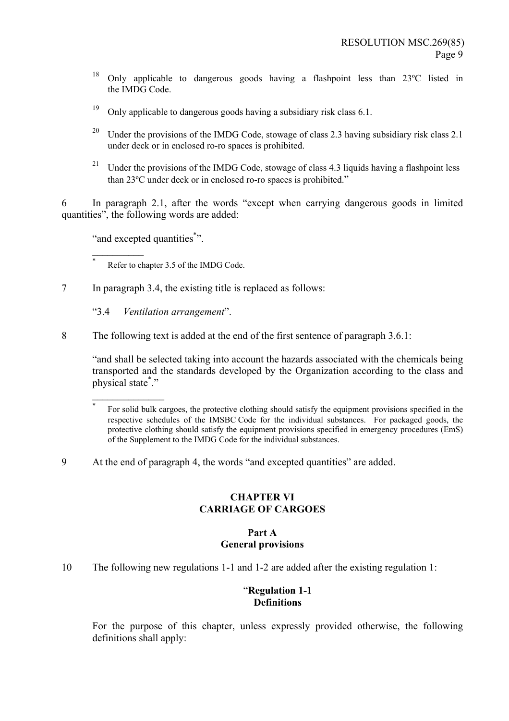- 18 Only applicable to dangerous goods having a flashpoint less than 23ºC listed in the IMDG Code.
- <sup>19</sup> Only applicable to dangerous goods having a subsidiary risk class 6.1.
- <sup>20</sup> Under the provisions of the IMDG Code, stowage of class 2.3 having subsidiary risk class 2.1 under deck or in enclosed ro-ro spaces is prohibited.
- <sup>21</sup> Under the provisions of the IMDG Code, stowage of class 4.3 liquids having a flashpoint less than 23°C under deck or in enclosed ro-ro spaces is prohibited."

 $6$  In paragraph 2.1, after the words "except when carrying dangerous goods in limited quantities", the following words are added:

"and excepted quantities".

 $\frac{1}{2}$ 

 $\frac{1}{2}$ 

Refer to chapter 3.5 of the IMDG Code.

7 In paragraph 3.4, the existing title is replaced as follows:

ì3.4 *Ventilation arrangement*î.

8 The following text is added at the end of the first sentence of paragraph 3.6.1:

ìand shall be selected taking into account the hazards associated with the chemicals being transported and the standards developed by the Organization according to the class and physical state\*."

9 At the end of paragraph 4, the words "and excepted quantities" are added.

#### **CHAPTER VI CARRIAGE OF CARGOES**

#### **Part A General provisions**

10 The following new regulations 1-1 and 1-2 are added after the existing regulation 1:

# ì**Regulation 1-1 Definitions**

For the purpose of this chapter, unless expressly provided otherwise, the following definitions shall apply:

For solid bulk cargoes, the protective clothing should satisfy the equipment provisions specified in the respective schedules of the IMSBC Code for the individual substances. For packaged goods, the protective clothing should satisfy the equipment provisions specified in emergency procedures (EmS) of the Supplement to the IMDG Code for the individual substances.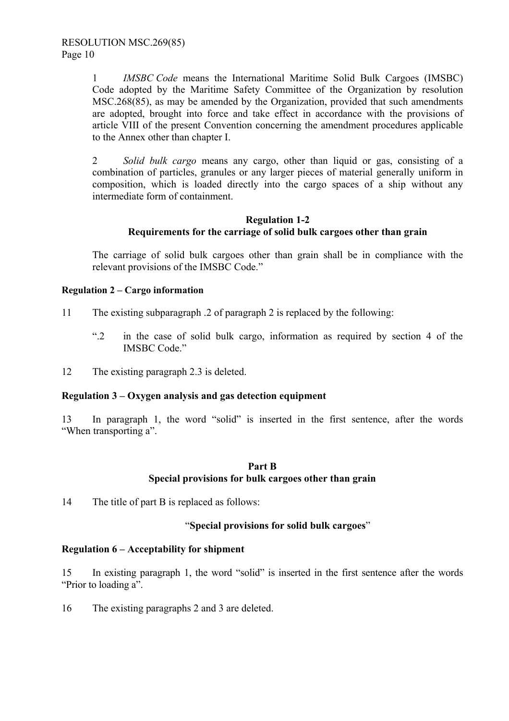1 *IMSBC Code* means the International Maritime Solid Bulk Cargoes (IMSBC) Code adopted by the Maritime Safety Committee of the Organization by resolution MSC.268(85), as may be amended by the Organization, provided that such amendments are adopted, brought into force and take effect in accordance with the provisions of article VIII of the present Convention concerning the amendment procedures applicable to the Annex other than chapter I.

2 *Solid bulk cargo* means any cargo, other than liquid or gas, consisting of a combination of particles, granules or any larger pieces of material generally uniform in composition, which is loaded directly into the cargo spaces of a ship without any intermediate form of containment.

# **Regulation 1-2 Requirements for the carriage of solid bulk cargoes other than grain**

The carriage of solid bulk cargoes other than grain shall be in compliance with the relevant provisions of the IMSBC Code."

# **Regulation 2 – Cargo information**

- 11 The existing subparagraph .2 of paragraph 2 is replaced by the following:
	- ì.2 in the case of solid bulk cargo, information as required by section 4 of the IMSBC Code."
- 12 The existing paragraph 2.3 is deleted.

#### **Regulation 3 – Oxygen analysis and gas detection equipment**

13 In paragraph 1, the word "solid" is inserted in the first sentence, after the words "When transporting a".

## **Part B Special provisions for bulk cargoes other than grain**

14 The title of part B is replaced as follows:

# ì**Special provisions for solid bulk cargoes**î

# **Regulation 6 – Acceptability for shipment**

15 In existing paragraph 1, the word "solid" is inserted in the first sentence after the words "Prior to loading a".

16 The existing paragraphs 2 and 3 are deleted.